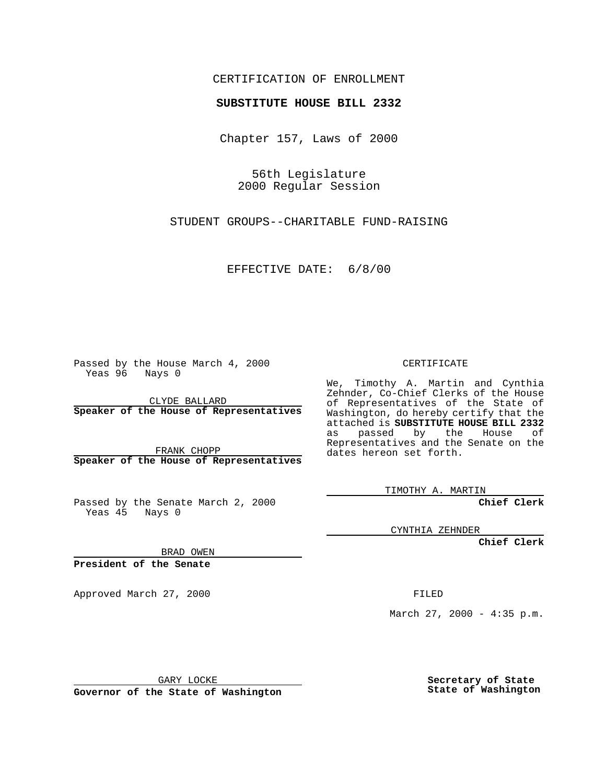## CERTIFICATION OF ENROLLMENT

## **SUBSTITUTE HOUSE BILL 2332**

Chapter 157, Laws of 2000

56th Legislature 2000 Regular Session

STUDENT GROUPS--CHARITABLE FUND-RAISING

EFFECTIVE DATE: 6/8/00

Passed by the House March 4, 2000 Yeas 96 Nays 0

CLYDE BALLARD **Speaker of the House of Representatives**

FRANK CHOPP **Speaker of the House of Representatives**

Passed by the Senate March 2, 2000 Yeas 45 Nays 0

CERTIFICATE

We, Timothy A. Martin and Cynthia Zehnder, Co-Chief Clerks of the House of Representatives of the State of Washington, do hereby certify that the attached is **SUBSTITUTE HOUSE BILL 2332** as passed by the House of Representatives and the Senate on the dates hereon set forth.

TIMOTHY A. MARTIN

**Chief Clerk**

CYNTHIA ZEHNDER

**Chief Clerk**

BRAD OWEN

**President of the Senate**

Approved March 27, 2000 FILED

March 27, 2000 - 4:35 p.m.

GARY LOCKE

**Governor of the State of Washington**

**Secretary of State State of Washington**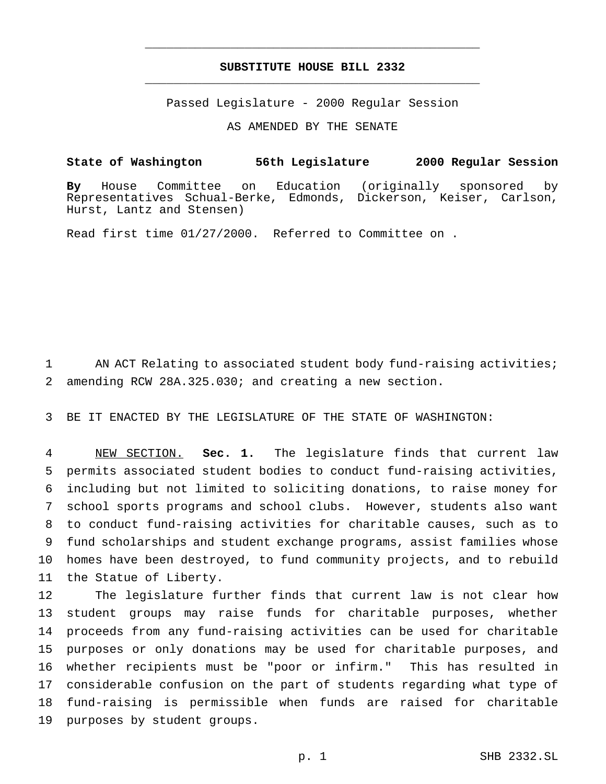## **SUBSTITUTE HOUSE BILL 2332** \_\_\_\_\_\_\_\_\_\_\_\_\_\_\_\_\_\_\_\_\_\_\_\_\_\_\_\_\_\_\_\_\_\_\_\_\_\_\_\_\_\_\_\_\_\_\_

\_\_\_\_\_\_\_\_\_\_\_\_\_\_\_\_\_\_\_\_\_\_\_\_\_\_\_\_\_\_\_\_\_\_\_\_\_\_\_\_\_\_\_\_\_\_\_

Passed Legislature - 2000 Regular Session

AS AMENDED BY THE SENATE

**State of Washington 56th Legislature 2000 Regular Session**

**By** House Committee on Education (originally sponsored by Representatives Schual-Berke, Edmonds, Dickerson, Keiser, Carlson, Hurst, Lantz and Stensen)

Read first time 01/27/2000. Referred to Committee on .

 AN ACT Relating to associated student body fund-raising activities; amending RCW 28A.325.030; and creating a new section.

BE IT ENACTED BY THE LEGISLATURE OF THE STATE OF WASHINGTON:

 NEW SECTION. **Sec. 1.** The legislature finds that current law permits associated student bodies to conduct fund-raising activities, including but not limited to soliciting donations, to raise money for school sports programs and school clubs. However, students also want to conduct fund-raising activities for charitable causes, such as to fund scholarships and student exchange programs, assist families whose homes have been destroyed, to fund community projects, and to rebuild the Statue of Liberty.

 The legislature further finds that current law is not clear how student groups may raise funds for charitable purposes, whether proceeds from any fund-raising activities can be used for charitable purposes or only donations may be used for charitable purposes, and whether recipients must be "poor or infirm." This has resulted in considerable confusion on the part of students regarding what type of fund-raising is permissible when funds are raised for charitable purposes by student groups.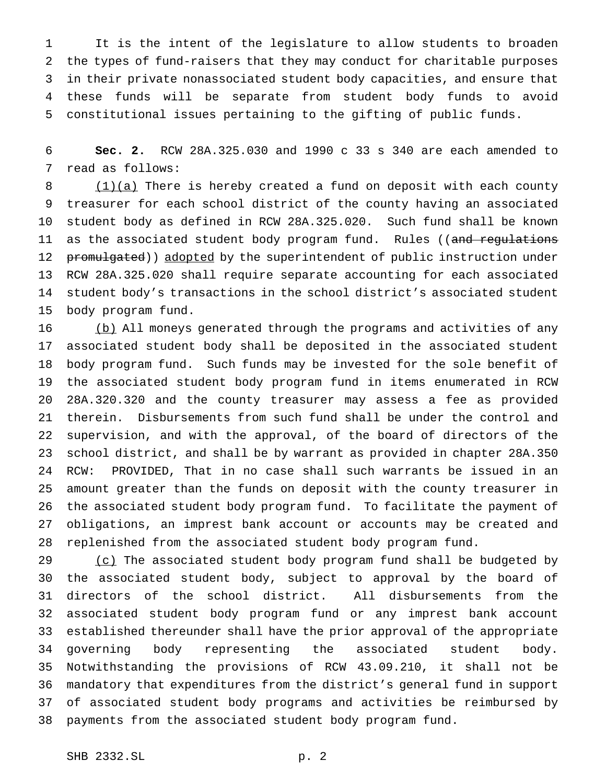It is the intent of the legislature to allow students to broaden the types of fund-raisers that they may conduct for charitable purposes in their private nonassociated student body capacities, and ensure that these funds will be separate from student body funds to avoid constitutional issues pertaining to the gifting of public funds.

 **Sec. 2.** RCW 28A.325.030 and 1990 c 33 s 340 are each amended to read as follows:

 $(1)(a)$  There is hereby created a fund on deposit with each county treasurer for each school district of the county having an associated student body as defined in RCW 28A.325.020. Such fund shall be known 11 as the associated student body program fund. Rules ((and regulations 12 promulgated)) adopted by the superintendent of public instruction under RCW 28A.325.020 shall require separate accounting for each associated student body's transactions in the school district's associated student body program fund.

16 (b) All moneys generated through the programs and activities of any associated student body shall be deposited in the associated student body program fund. Such funds may be invested for the sole benefit of the associated student body program fund in items enumerated in RCW 28A.320.320 and the county treasurer may assess a fee as provided therein. Disbursements from such fund shall be under the control and supervision, and with the approval, of the board of directors of the school district, and shall be by warrant as provided in chapter 28A.350 RCW: PROVIDED, That in no case shall such warrants be issued in an amount greater than the funds on deposit with the county treasurer in the associated student body program fund. To facilitate the payment of obligations, an imprest bank account or accounts may be created and replenished from the associated student body program fund.

29 (c) The associated student body program fund shall be budgeted by the associated student body, subject to approval by the board of directors of the school district. All disbursements from the associated student body program fund or any imprest bank account established thereunder shall have the prior approval of the appropriate governing body representing the associated student body. Notwithstanding the provisions of RCW 43.09.210, it shall not be mandatory that expenditures from the district's general fund in support of associated student body programs and activities be reimbursed by payments from the associated student body program fund.